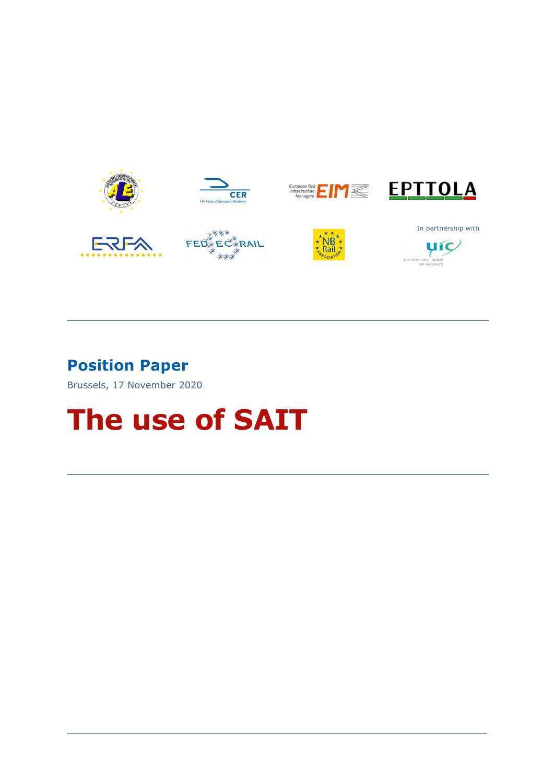

### Position Paper

Brussels, 17 November 2020

# The use of SAIT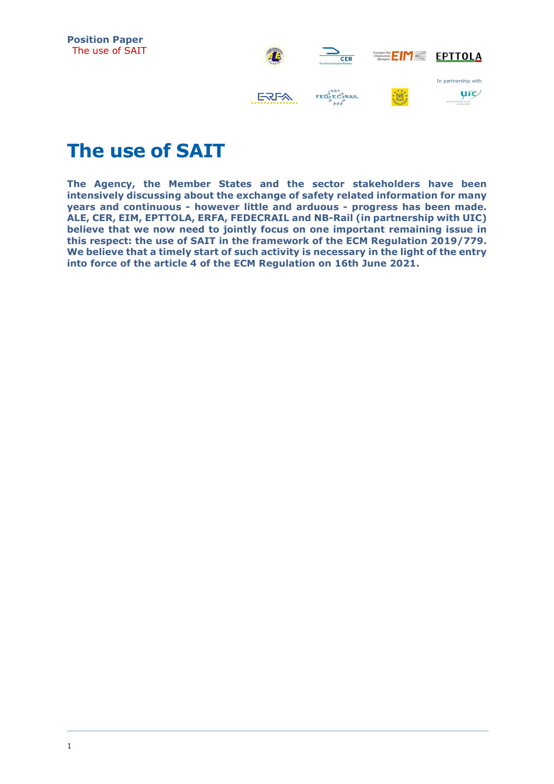



## The use of SAIT

The Agency, the Member States and the sector stakeholders have been intensively discussing about the exchange of safety related information for many years and continuous - however little and arduous - progress has been made. ALE, CER, EIM, EPTTOLA, ERFA, FEDECRAIL and NB-Rail (in partnership with UIC) believe that we now need to jointly focus on one important remaining issue in this respect: the use of SAIT in the framework of the ECM Regulation 2019/779. We believe that a timely start of such activity is necessary in the light of the entry into force of the article 4 of the ECM Regulation on 16th June 2021.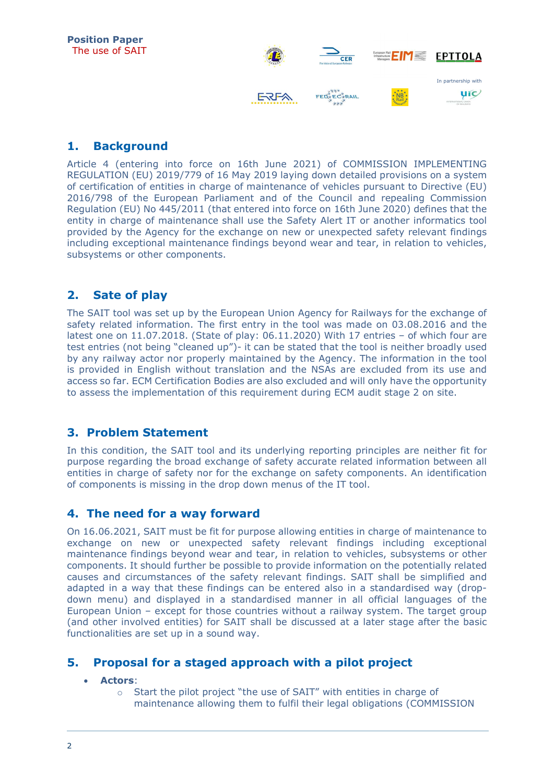

#### 1. Background

Article 4 (entering into force on 16th June 2021) of COMMISSION IMPLEMENTING REGULATION (EU) 2019/779 of 16 May 2019 laying down detailed provisions on a system of certification of entities in charge of maintenance of vehicles pursuant to Directive (EU) 2016/798 of the European Parliament and of the Council and repealing Commission Regulation (EU) No 445/2011 (that entered into force on 16th June 2020) defines that the entity in charge of maintenance shall use the Safety Alert IT or another informatics tool provided by the Agency for the exchange on new or unexpected safety relevant findings including exceptional maintenance findings beyond wear and tear, in relation to vehicles, subsystems or other components.

#### 2. Sate of play

The SAIT tool was set up by the European Union Agency for Railways for the exchange of safety related information. The first entry in the tool was made on 03.08.2016 and the latest one on 11.07.2018. (State of play: 06.11.2020) With 17 entries – of which four are test entries (not being "cleaned up")- it can be stated that the tool is neither broadly used by any railway actor nor properly maintained by the Agency. The information in the tool is provided in English without translation and the NSAs are excluded from its use and access so far. ECM Certification Bodies are also excluded and will only have the opportunity to assess the implementation of this requirement during ECM audit stage 2 on site.

#### 3. Problem Statement

In this condition, the SAIT tool and its underlying reporting principles are neither fit for purpose regarding the broad exchange of safety accurate related information between all entities in charge of safety nor for the exchange on safety components. An identification of components is missing in the drop down menus of the IT tool.

#### 4. The need for a way forward

On 16.06.2021, SAIT must be fit for purpose allowing entities in charge of maintenance to exchange on new or unexpected safety relevant findings including exceptional maintenance findings beyond wear and tear, in relation to vehicles, subsystems or other components. It should further be possible to provide information on the potentially related causes and circumstances of the safety relevant findings. SAIT shall be simplified and adapted in a way that these findings can be entered also in a standardised way (dropdown menu) and displayed in a standardised manner in all official languages of the European Union – except for those countries without a railway system. The target group (and other involved entities) for SAIT shall be discussed at a later stage after the basic functionalities are set up in a sound way.

#### 5. Proposal for a staged approach with a pilot project

#### Actors:

o Start the pilot project "the use of SAIT" with entities in charge of maintenance allowing them to fulfil their legal obligations (COMMISSION